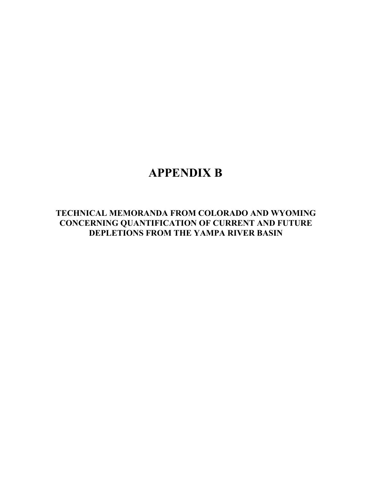# **APPENDIX B**

**TECHNICAL MEMORANDA FROM COLORADO AND WYOMING CONCERNING QUANTIFICATION OF CURRENT AND FUTURE DEPLETIONS FROM THE YAMPA RIVER BASIN**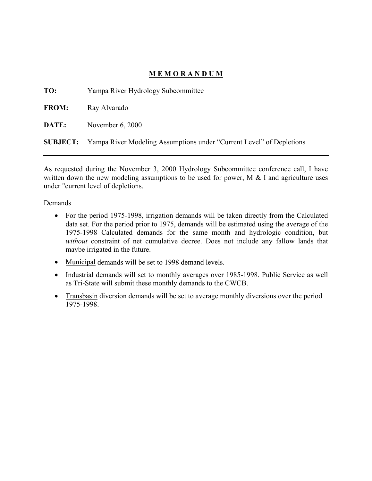# **M E M O R A N D U M**

**TO:** Yampa River Hydrology Subcommittee

**FROM:** Ray Alvarado

**DATE:** November 6, 2000

**SUBJECT:** Yampa River Modeling Assumptions under "Current Level" of Depletions

As requested during the November 3, 2000 Hydrology Subcommittee conference call, I have written down the new modeling assumptions to be used for power,  $M \& I$  and agriculture uses under "current level of depletions.

Demands

- For the period 1975-1998, irrigation demands will be taken directly from the Calculated data set. For the period prior to 1975, demands will be estimated using the average of the 1975-1998 Calculated demands for the same month and hydrologic condition, but *without* constraint of net cumulative decree. Does not include any fallow lands that maybe irrigated in the future.
- Municipal demands will be set to 1998 demand levels.
- Industrial demands will set to monthly averages over 1985-1998. Public Service as well as Tri-State will submit these monthly demands to the CWCB.
- Transbasin diversion demands will be set to average monthly diversions over the period 1975-1998.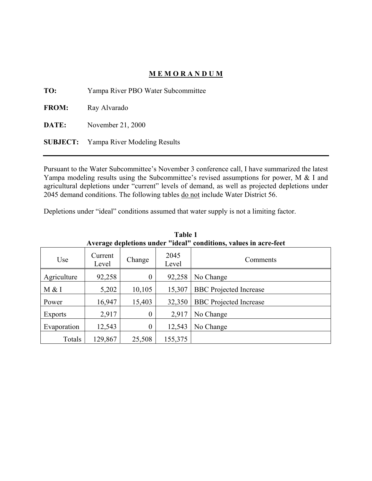# **M E M O R A N D U M**

**TO:** Yampa River PBO Water Subcommittee

**FROM:** Ray Alvarado

**DATE:** November 21, 2000

**SUBJECT:** Yampa River Modeling Results

Pursuant to the Water Subcommittee's November 3 conference call, I have summarized the latest Yampa modeling results using the Subcommittee's revised assumptions for power, M & I and agricultural depletions under "current" levels of demand, as well as projected depletions under 2045 demand conditions. The following tables do not include Water District 56.

Depletions under "ideal" conditions assumed that water supply is not a limiting factor.

| Average depletions under "ideal" conditions, values in acre-feet |                  |                  |               |                               |
|------------------------------------------------------------------|------------------|------------------|---------------|-------------------------------|
| Use                                                              | Current<br>Level | Change           | 2045<br>Level | Comments                      |
| Agriculture                                                      | 92,258           | $\boldsymbol{0}$ | 92,258        | No Change                     |
| M & I                                                            | 5,202            | 10,105           | 15,307        | <b>BBC</b> Projected Increase |
| Power                                                            | 16,947           | 15,403           | 32,350        | <b>BBC</b> Projected Increase |
| Exports                                                          | 2,917            | $\boldsymbol{0}$ | 2,917         | No Change                     |
| Evaporation                                                      | 12,543           | $\overline{0}$   | 12,543        | No Change                     |
| Totals                                                           | 129,867          | 25,508           | 155,375       |                               |

**Table 1**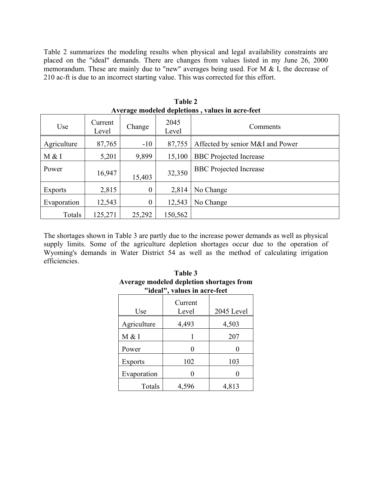Table 2 summarizes the modeling results when physical and legal availability constraints are placed on the "ideal" demands. There are changes from values listed in my June 26, 2000 memorandum. These are mainly due to "new" averages being used. For M & I, the decrease of 210 ac-ft is due to an incorrect starting value. This was corrected for this effort.

| $\cdots$ . The model of the model of $\cdots$ and $\cdots$ and $\cdots$ are $\cdots$ |                  |                  |               |                                  |
|--------------------------------------------------------------------------------------|------------------|------------------|---------------|----------------------------------|
| Use                                                                                  | Current<br>Level | Change           | 2045<br>Level | Comments                         |
| Agriculture                                                                          | 87,765           | $-10$            | 87,755        | Affected by senior M&I and Power |
| M & I                                                                                | 5,201            | 9,899            | 15,100        | <b>BBC</b> Projected Increase    |
| Power                                                                                | 16,947           | 15,403           | 32,350        | <b>BBC</b> Projected Increase    |
| <b>Exports</b>                                                                       | 2,815            | $\boldsymbol{0}$ | 2,814         | No Change                        |
| Evaporation                                                                          | 12,543           | $\overline{0}$   | 12,543        | No Change                        |
| Totals                                                                               | 125,271          | 25,292           | 150,562       |                                  |

**Table 2 Average modeled depletions , values in acre-feet** 

The shortages shown in Table 3 are partly due to the increase power demands as well as physical supply limits. Some of the agriculture depletion shortages occur due to the operation of Wyoming's demands in Water District 54 as well as the method of calculating irrigation efficiencies.

| "ideal", values in acre-feet |                  |            |  |  |
|------------------------------|------------------|------------|--|--|
| Use                          | Current<br>Level | 2045 Level |  |  |
| Agriculture                  | 4,493            | 4,503      |  |  |
| M & I                        |                  | 207        |  |  |
| Power                        |                  |            |  |  |
| <b>Exports</b>               | 102              | 103        |  |  |
| Evaporation                  |                  |            |  |  |
| Totals                       | 4,596            | 4,813      |  |  |

**Table 3 Average modeled depletion shortages from**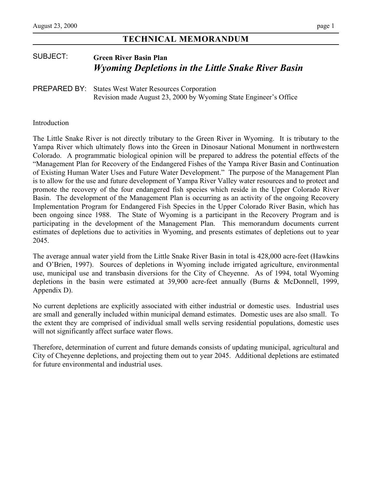# **TECHNICAL MEMORANDUM**

# SUBJECT: **Green River Basin Plan**  *Wyoming Depletions in the Little Snake River Basin*

### PREPARED BY: States West Water Resources Corporation Revision made August 23, 2000 by Wyoming State Engineer's Office

#### Introduction

The Little Snake River is not directly tributary to the Green River in Wyoming. It is tributary to the Yampa River which ultimately flows into the Green in Dinosaur National Monument in northwestern Colorado. A programmatic biological opinion will be prepared to address the potential effects of the "Management Plan for Recovery of the Endangered Fishes of the Yampa River Basin and Continuation of Existing Human Water Uses and Future Water Development." The purpose of the Management Plan is to allow for the use and future development of Yampa River Valley water resources and to protect and promote the recovery of the four endangered fish species which reside in the Upper Colorado River Basin. The development of the Management Plan is occurring as an activity of the ongoing Recovery Implementation Program for Endangered Fish Species in the Upper Colorado River Basin, which has been ongoing since 1988. The State of Wyoming is a participant in the Recovery Program and is participating in the development of the Management Plan. This memorandum documents current estimates of depletions due to activities in Wyoming, and presents estimates of depletions out to year 2045.

The average annual water yield from the Little Snake River Basin in total is 428,000 acre-feet (Hawkins and O'Brien, 1997). Sources of depletions in Wyoming include irrigated agriculture, environmental use, municipal use and transbasin diversions for the City of Cheyenne. As of 1994, total Wyoming depletions in the basin were estimated at 39,900 acre-feet annually (Burns & McDonnell, 1999, Appendix D).

No current depletions are explicitly associated with either industrial or domestic uses. Industrial uses are small and generally included within municipal demand estimates. Domestic uses are also small. To the extent they are comprised of individual small wells serving residential populations, domestic uses will not significantly affect surface water flows.

Therefore, determination of current and future demands consists of updating municipal, agricultural and City of Cheyenne depletions, and projecting them out to year 2045. Additional depletions are estimated for future environmental and industrial uses.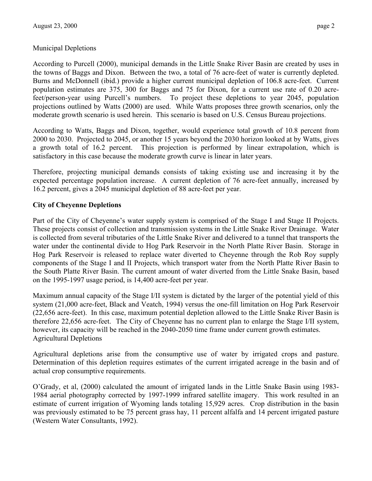Burns and McDonnell (ibid.) provide a higher current municipal depletion of 106.8 acre-feet. Current population estimates are 375, 300 for Baggs and 75 for Dixon, for a current use rate of 0.20 acrefeet/person-year using Purcell's numbers. To project these depletions to year 2045, population projections outlined by Watts (2000) are used. While Watts proposes three growth scenarios, only the moderate growth scenario is used herein. This scenario is based on U.S. Census Bureau projections.

According to Watts, Baggs and Dixon, together, would experience total growth of 10.8 percent from 2000 to 2030. Projected to 2045, or another 15 years beyond the 2030 horizon looked at by Watts, gives a growth total of 16.2 percent. This projection is performed by linear extrapolation, which is satisfactory in this case because the moderate growth curve is linear in later years.

Therefore, projecting municipal demands consists of taking existing use and increasing it by the expected percentage population increase. A current depletion of 76 acre-feet annually, increased by 16.2 percent, gives a 2045 municipal depletion of 88 acre-feet per year.

#### **City of Cheyenne Depletions**

Part of the City of Cheyenne's water supply system is comprised of the Stage I and Stage II Projects. These projects consist of collection and transmission systems in the Little Snake River Drainage. Water is collected from several tributaries of the Little Snake River and delivered to a tunnel that transports the water under the continental divide to Hog Park Reservoir in the North Platte River Basin. Storage in Hog Park Reservoir is released to replace water diverted to Cheyenne through the Rob Roy supply components of the Stage I and II Projects, which transport water from the North Platte River Basin to the South Platte River Basin. The current amount of water diverted from the Little Snake Basin, based on the 1995-1997 usage period, is 14,400 acre-feet per year.

Maximum annual capacity of the Stage I/II system is dictated by the larger of the potential yield of this system (21,000 acre-feet, Black and Veatch, 1994) versus the one-fill limitation on Hog Park Reservoir (22,656 acre-feet). In this case, maximum potential depletion allowed to the Little Snake River Basin is therefore 22,656 acre-feet. The City of Cheyenne has no current plan to enlarge the Stage I/II system, however, its capacity will be reached in the 2040-2050 time frame under current growth estimates. Agricultural Depletions

Agricultural depletions arise from the consumptive use of water by irrigated crops and pasture. Determination of this depletion requires estimates of the current irrigated acreage in the basin and of actual crop consumptive requirements.

O'Grady, et al, (2000) calculated the amount of irrigated lands in the Little Snake Basin using 1983- 1984 aerial photography corrected by 1997-1999 infrared satellite imagery. This work resulted in an estimate of current irrigation of Wyoming lands totaling 15,929 acres. Crop distribution in the basin was previously estimated to be 75 percent grass hay, 11 percent alfalfa and 14 percent irrigated pasture (Western Water Consultants, 1992).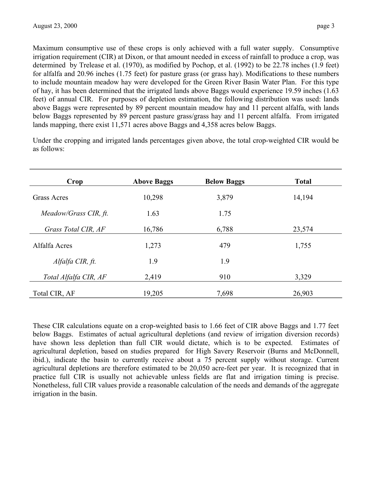Maximum consumptive use of these crops is only achieved with a full water supply. Consumptive irrigation requirement (CIR) at Dixon, or that amount needed in excess of rainfall to produce a crop, was determined by Trelease et al. (1970), as modified by Pochop, et al. (1992) to be 22.78 inches (1.9 feet) for alfalfa and 20.96 inches (1.75 feet) for pasture grass (or grass hay). Modifications to these numbers to include mountain meadow hay were developed for the Green River Basin Water Plan. For this type of hay, it has been determined that the irrigated lands above Baggs would experience 19.59 inches (1.63 feet) of annual CIR. For purposes of depletion estimation, the following distribution was used: lands above Baggs were represented by 89 percent mountain meadow hay and 11 percent alfalfa, with lands below Baggs represented by 89 percent pasture grass/grass hay and 11 percent alfalfa. From irrigated lands mapping, there exist 11,571 acres above Baggs and 4,358 acres below Baggs.

Under the cropping and irrigated lands percentages given above, the total crop-weighted CIR would be as follows:

| Crop                  | <b>Above Baggs</b> | <b>Below Baggs</b> | <b>Total</b> |
|-----------------------|--------------------|--------------------|--------------|
| <b>Grass Acres</b>    | 10,298             | 3,879              | 14,194       |
| Meadow/Grass CIR, ft. | 1.63               | 1.75               |              |
| Grass Total CIR, AF   | 16,786             | 6,788              | 23,574       |
| Alfalfa Acres         | 1,273              | 479                | 1,755        |
| Alfalfa CIR, ft.      | 1.9                | 1.9                |              |
| Total Alfalfa CIR, AF | 2,419              | 910                | 3,329        |
| Total CIR, AF         | 19,205             | 7,698              | 26,903       |

These CIR calculations equate on a crop-weighted basis to 1.66 feet of CIR above Baggs and 1.77 feet below Baggs. Estimates of actual agricultural depletions (and review of irrigation diversion records) have shown less depletion than full CIR would dictate, which is to be expected. Estimates of agricultural depletion, based on studies prepared for High Savery Reservoir (Burns and McDonnell, ibid.), indicate the basin to currently receive about a 75 percent supply without storage. Current agricultural depletions are therefore estimated to be 20,050 acre-feet per year. It is recognized that in practice full CIR is usually not achievable unless fields are flat and irrigation timing is precise. Nonetheless, full CIR values provide a reasonable calculation of the needs and demands of the aggregate irrigation in the basin.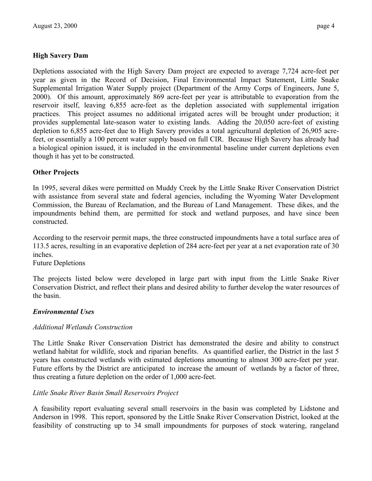Depletions associated with the High Savery Dam project are expected to average 7,724 acre-feet per year as given in the Record of Decision, Final Environmental Impact Statement, Little Snake Supplemental Irrigation Water Supply project (Department of the Army Corps of Engineers, June 5, 2000). Of this amount, approximately 869 acre-feet per year is attributable to evaporation from the reservoir itself, leaving 6,855 acre-feet as the depletion associated with supplemental irrigation practices. This project assumes no additional irrigated acres will be brought under production; it provides supplemental late-season water to existing lands. Adding the 20,050 acre-feet of existing depletion to 6,855 acre-feet due to High Savery provides a total agricultural depletion of 26,905 acrefeet, or essentially a 100 percent water supply based on full CIR. Because High Savery has already had a biological opinion issued, it is included in the environmental baseline under current depletions even though it has yet to be constructed.

# **Other Projects**

In 1995, several dikes were permitted on Muddy Creek by the Little Snake River Conservation District with assistance from several state and federal agencies, including the Wyoming Water Development Commission, the Bureau of Reclamation, and the Bureau of Land Management. These dikes, and the impoundments behind them, are permitted for stock and wetland purposes, and have since been constructed.

According to the reservoir permit maps, the three constructed impoundments have a total surface area of 113.5 acres, resulting in an evaporative depletion of 284 acre-feet per year at a net evaporation rate of 30 inches.

Future Depletions

The projects listed below were developed in large part with input from the Little Snake River Conservation District, and reflect their plans and desired ability to further develop the water resources of the basin.

#### *Environmental Uses*

#### *Additional Wetlands Construction*

The Little Snake River Conservation District has demonstrated the desire and ability to construct wetland habitat for wildlife, stock and riparian benefits. As quantified earlier, the District in the last 5 years has constructed wetlands with estimated depletions amounting to almost 300 acre-feet per year. Future efforts by the District are anticipated to increase the amount of wetlands by a factor of three, thus creating a future depletion on the order of 1,000 acre-feet.

#### *Little Snake River Basin Small Reservoirs Project*

A feasibility report evaluating several small reservoirs in the basin was completed by Lidstone and Anderson in 1998. This report, sponsored by the Little Snake River Conservation District, looked at the feasibility of constructing up to 34 small impoundments for purposes of stock watering, rangeland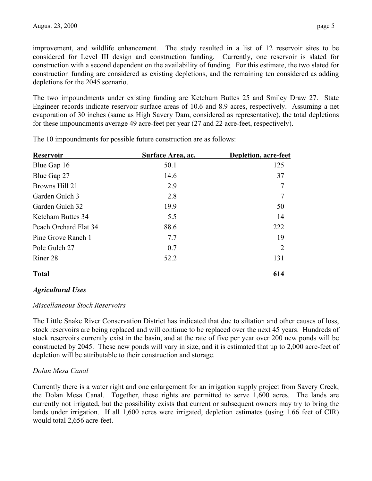improvement, and wildlife enhancement. The study resulted in a list of 12 reservoir sites to be considered for Level III design and construction funding. Currently, one reservoir is slated for construction with a second dependent on the availability of funding. For this estimate, the two slated for construction funding are considered as existing depletions, and the remaining ten considered as adding depletions for the 2045 scenario.

The two impoundments under existing funding are Ketchum Buttes 25 and Smiley Draw 27. State Engineer records indicate reservoir surface areas of 10.6 and 8.9 acres, respectively. Assuming a net evaporation of 30 inches (same as High Savery Dam, considered as representative), the total depletions for these impoundments average 49 acre-feet per year (27 and 22 acre-feet, respectively).

| Surface Area, ac. | Depletion, acre-feet |
|-------------------|----------------------|
| 50.1              | 125                  |
| 14.6              | 37                   |
| 2.9               | $\overline{7}$       |
| 2.8               | $\overline{7}$       |
| 19.9              | 50                   |
| 5.5               | 14                   |
| 88.6              | 222                  |
| 7.7               | 19                   |
| 0.7               | 2                    |
| 52.2              | 131                  |
|                   | 614                  |
|                   |                      |

The 10 impoundments for possible future construction are as follows:

*Agricultural Uses* 

#### *Miscellaneous Stock Reservoirs*

The Little Snake River Conservation District has indicated that due to siltation and other causes of loss, stock reservoirs are being replaced and will continue to be replaced over the next 45 years. Hundreds of stock reservoirs currently exist in the basin, and at the rate of five per year over 200 new ponds will be constructed by 2045. These new ponds will vary in size, and it is estimated that up to 2,000 acre-feet of depletion will be attributable to their construction and storage.

# *Dolan Mesa Canal*

Currently there is a water right and one enlargement for an irrigation supply project from Savery Creek, the Dolan Mesa Canal. Together, these rights are permitted to serve 1,600 acres. The lands are currently not irrigated, but the possibility exists that current or subsequent owners may try to bring the lands under irrigation. If all 1,600 acres were irrigated, depletion estimates (using 1.66 feet of CIR) would total 2,656 acre-feet.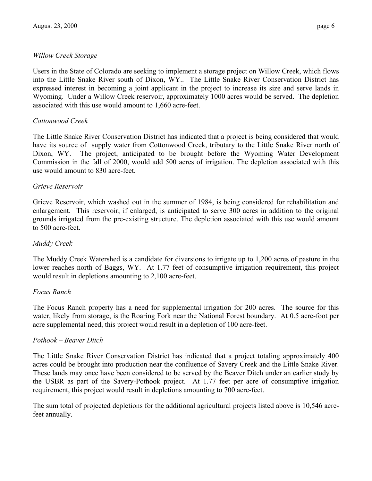Users in the State of Colorado are seeking to implement a storage project on Willow Creek, which flows into the Little Snake River south of Dixon, WY.. The Little Snake River Conservation District has expressed interest in becoming a joint applicant in the project to increase its size and serve lands in Wyoming. Under a Willow Creek reservoir, approximately 1000 acres would be served. The depletion associated with this use would amount to 1,660 acre-feet.

#### *Cottonwood Creek*

The Little Snake River Conservation District has indicated that a project is being considered that would have its source of supply water from Cottonwood Creek, tributary to the Little Snake River north of Dixon, WY. The project, anticipated to be brought before the Wyoming Water Development Commission in the fall of 2000, would add 500 acres of irrigation. The depletion associated with this use would amount to 830 acre-feet.

#### *Grieve Reservoir*

Grieve Reservoir, which washed out in the summer of 1984, is being considered for rehabilitation and enlargement. This reservoir, if enlarged, is anticipated to serve 300 acres in addition to the original grounds irrigated from the pre-existing structure. The depletion associated with this use would amount to 500 acre-feet.

#### *Muddy Creek*

The Muddy Creek Watershed is a candidate for diversions to irrigate up to 1,200 acres of pasture in the lower reaches north of Baggs, WY. At 1.77 feet of consumptive irrigation requirement, this project would result in depletions amounting to 2,100 acre-feet.

#### *Focus Ranch*

The Focus Ranch property has a need for supplemental irrigation for 200 acres. The source for this water, likely from storage, is the Roaring Fork near the National Forest boundary. At 0.5 acre-foot per acre supplemental need, this project would result in a depletion of 100 acre-feet.

#### *Pothook – Beaver Ditch*

The Little Snake River Conservation District has indicated that a project totaling approximately 400 acres could be brought into production near the confluence of Savery Creek and the Little Snake River. These lands may once have been considered to be served by the Beaver Ditch under an earlier study by the USBR as part of the Savery-Pothook project. At 1.77 feet per acre of consumptive irrigation requirement, this project would result in depletions amounting to 700 acre-feet.

The sum total of projected depletions for the additional agricultural projects listed above is 10,546 acrefeet annually.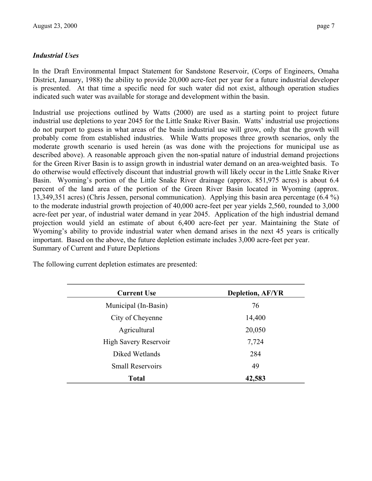#### *Industrial Uses*

In the Draft Environmental Impact Statement for Sandstone Reservoir, (Corps of Engineers, Omaha District, January, 1988) the ability to provide 20,000 acre-feet per year for a future industrial developer is presented. At that time a specific need for such water did not exist, although operation studies indicated such water was available for storage and development within the basin.

Industrial use projections outlined by Watts (2000) are used as a starting point to project future industrial use depletions to year 2045 for the Little Snake River Basin. Watts' industrial use projections do not purport to guess in what areas of the basin industrial use will grow, only that the growth will probably come from established industries. While Watts proposes three growth scenarios, only the moderate growth scenario is used herein (as was done with the projections for municipal use as described above). A reasonable approach given the non-spatial nature of industrial demand projections for the Green River Basin is to assign growth in industrial water demand on an area-weighted basis. To do otherwise would effectively discount that industrial growth will likely occur in the Little Snake River Basin. Wyoming's portion of the Little Snake River drainage (approx. 851,975 acres) is about 6.4 percent of the land area of the portion of the Green River Basin located in Wyoming (approx. 13,349,351 acres) (Chris Jessen, personal communication). Applying this basin area percentage (6.4 %) to the moderate industrial growth projection of 40,000 acre-feet per year yields 2,560, rounded to 3,000 acre-feet per year, of industrial water demand in year 2045. Application of the high industrial demand projection would yield an estimate of about 6,400 acre-feet per year. Maintaining the State of Wyoming's ability to provide industrial water when demand arises in the next 45 years is critically important. Based on the above, the future depletion estimate includes 3,000 acre-feet per year. Summary of Current and Future Depletions

The following current depletion estimates are presented:

| <b>Current Use</b>      | <b>Depletion, AF/YR</b> |
|-------------------------|-------------------------|
| Municipal (In-Basin)    | 76                      |
| City of Cheyenne        | 14,400                  |
| Agricultural            | 20,050                  |
| High Savery Reservoir   | 7,724                   |
| Diked Wetlands          | 284                     |
| <b>Small Reservoirs</b> | 49                      |
| Total                   | 42,583                  |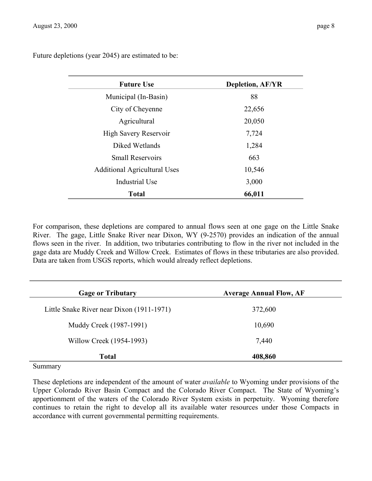Future depletions (year 2045) are estimated to be:

| <b>Future Use</b>                   | <b>Depletion, AF/YR</b> |
|-------------------------------------|-------------------------|
| Municipal (In-Basin)                | 88                      |
| City of Cheyenne                    | 22,656                  |
| Agricultural                        | 20,050                  |
| High Savery Reservoir               | 7,724                   |
| Diked Wetlands                      | 1,284                   |
| <b>Small Reservoirs</b>             | 663                     |
| <b>Additional Agricultural Uses</b> | 10,546                  |
| Industrial Use                      | 3,000                   |
| <b>Total</b>                        | 66,011                  |

For comparison, these depletions are compared to annual flows seen at one gage on the Little Snake River. The gage, Little Snake River near Dixon, WY (9-2570) provides an indication of the annual flows seen in the river. In addition, two tributaries contributing to flow in the river not included in the gage data are Muddy Creek and Willow Creek. Estimates of flows in these tributaries are also provided. Data are taken from USGS reports, which would already reflect depletions.

| <b>Gage or Tributary</b>                  | <b>Average Annual Flow, AF</b> |
|-------------------------------------------|--------------------------------|
| Little Snake River near Dixon (1911-1971) | 372,600                        |
| Muddy Creek (1987-1991)                   | 10,690                         |
| Willow Creek (1954-1993)                  | 7,440                          |
| <b>Total</b>                              | 408,860                        |

Summary

These depletions are independent of the amount of water *available* to Wyoming under provisions of the Upper Colorado River Basin Compact and the Colorado River Compact. The State of Wyoming's apportionment of the waters of the Colorado River System exists in perpetuity. Wyoming therefore continues to retain the right to develop all its available water resources under those Compacts in accordance with current governmental permitting requirements.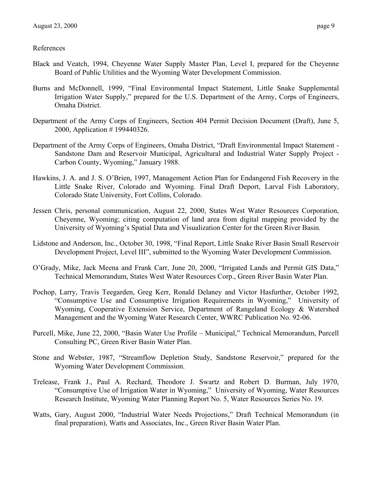- Black and Veatch, 1994, Cheyenne Water Supply Master Plan, Level I, prepared for the Cheyenne Board of Public Utilities and the Wyoming Water Development Commission.
- Burns and McDonnell, 1999, "Final Environmental Impact Statement, Little Snake Supplemental Irrigation Water Supply," prepared for the U.S. Department of the Army, Corps of Engineers, Omaha District.
- Department of the Army Corps of Engineers, Section 404 Permit Decision Document (Draft), June 5, 2000, Application # 199440326.
- Department of the Army Corps of Engineers, Omaha District, "Draft Environmental Impact Statement Sandstone Dam and Reservoir Municipal, Agricultural and Industrial Water Supply Project - Carbon County, Wyoming," January 1988.
- Hawkins, J. A. and J. S. O'Brien, 1997, Management Action Plan for Endangered Fish Recovery in the Little Snake River, Colorado and Wyoming. Final Draft Deport, Larval Fish Laboratory, Colorado State University, Fort Collins, Colorado.
- Jessen Chris, personal communication, August 22, 2000, States West Water Resources Corporation, Cheyenne, Wyoming; citing computation of land area from digital mapping provided by the University of Wyoming's Spatial Data and Visualization Center for the Green River Basin.
- Lidstone and Anderson, Inc., October 30, 1998, "Final Report, Little Snake River Basin Small Reservoir Development Project, Level III", submitted to the Wyoming Water Development Commission.
- O'Grady, Mike, Jack Meena and Frank Carr, June 20, 2000, "Irrigated Lands and Permit GIS Data," Technical Memorandum, States West Water Resources Corp., Green River Basin Water Plan.
- Pochop, Larry, Travis Teegarden, Greg Kerr, Ronald Delaney and Victor Hasfurther, October 1992, "Consumptive Use and Consumptive Irrigation Requirements in Wyoming," University of Wyoming, Cooperative Extension Service, Department of Rangeland Ecology & Watershed Management and the Wyoming Water Research Center, WWRC Publication No. 92-06.
- Purcell, Mike, June 22, 2000, "Basin Water Use Profile Municipal," Technical Memorandum, Purcell Consulting PC, Green River Basin Water Plan.
- Stone and Webster, 1987, "Streamflow Depletion Study, Sandstone Reservoir," prepared for the Wyoming Water Development Commission.
- Trelease, Frank J., Paul A. Rechard, Theodore J. Swartz and Robert D. Burman, July 1970, "Consumptive Use of Irrigation Water in Wyoming," University of Wyoming, Water Resources Research Institute, Wyoming Water Planning Report No. 5, Water Resources Series No. 19.
- Watts, Gary, August 2000, "Industrial Water Needs Projections," Draft Technical Memorandum (in final preparation), Watts and Associates, Inc., Green River Basin Water Plan.